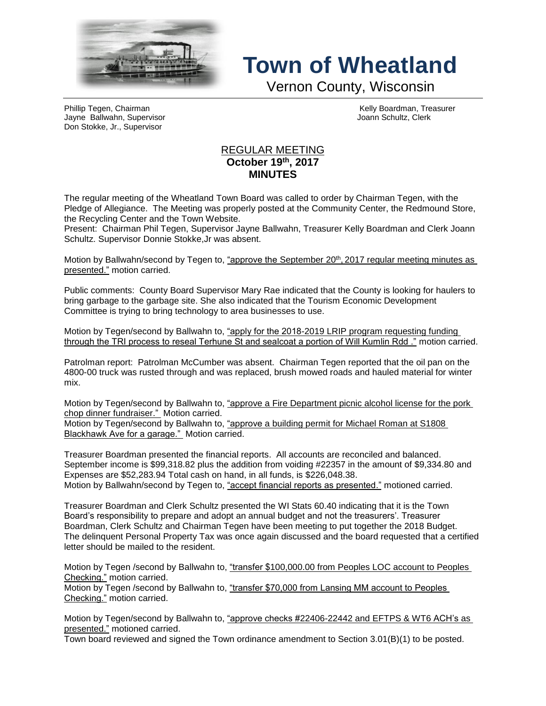

## **Town of Wheatland**

Vernon County, Wisconsin

Phillip Tegen, Chairman (Chairman Chairman Kelly Boardman, Treasurer Chairman Chairman Kelly Boardman, Treasurer<br>
The Hairman Kelly Board Chairman Chairman Chairman Chairman Chairman Chairman Chairman Chairman Chairman Cha Jayne Ballwahn, Supervisor Don Stokke, Jr., Supervisor

## REGULAR MEETING **October 19th , 2017 MINUTES**

The regular meeting of the Wheatland Town Board was called to order by Chairman Tegen, with the Pledge of Allegiance. The Meeting was properly posted at the Community Center, the Redmound Store, the Recycling Center and the Town Website.

Present: Chairman Phil Tegen, Supervisor Jayne Ballwahn, Treasurer Kelly Boardman and Clerk Joann Schultz. Supervisor Donnie Stokke,Jr was absent.

Motion by Ballwahn/second by Tegen to, <u>"approve the September 20<sup>th</sup>, 2017 regular meeting minutes as</u> presented." motion carried.

Public comments: County Board Supervisor Mary Rae indicated that the County is looking for haulers to bring garbage to the garbage site. She also indicated that the Tourism Economic Development Committee is trying to bring technology to area businesses to use.

Motion by Tegen/second by Ballwahn to, "apply for the 2018-2019 LRIP program requesting funding through the TRI process to reseal Terhune St and sealcoat a portion of Will Kumlin Rdd ." motion carried.

Patrolman report: Patrolman McCumber was absent. Chairman Tegen reported that the oil pan on the 4800-00 truck was rusted through and was replaced, brush mowed roads and hauled material for winter mix.

Motion by Tegen/second by Ballwahn to, "approve a Fire Department picnic alcohol license for the pork chop dinner fundraiser." Motion carried.

Motion by Tegen/second by Ballwahn to, "approve a building permit for Michael Roman at S1808 Blackhawk Ave for a garage." Motion carried.

Treasurer Boardman presented the financial reports. All accounts are reconciled and balanced. September income is \$99,318.82 plus the addition from voiding #22357 in the amount of \$9,334.80 and Expenses are \$52,283.94 Total cash on hand, in all funds, is \$226,048.38. Motion by Ballwahn/second by Tegen to, "accept financial reports as presented." motioned carried.

Treasurer Boardman and Clerk Schultz presented the WI Stats 60.40 indicating that it is the Town Board's responsibility to prepare and adopt an annual budget and not the treasurers'. Treasurer Boardman, Clerk Schultz and Chairman Tegen have been meeting to put together the 2018 Budget. The delinquent Personal Property Tax was once again discussed and the board requested that a certified letter should be mailed to the resident.

Motion by Tegen /second by Ballwahn to, "transfer \$100,000.00 from Peoples LOC account to Peoples Checking." motion carried.

Motion by Tegen /second by Ballwahn to, "transfer \$70,000 from Lansing MM account to Peoples Checking." motion carried.

Motion by Tegen/second by Ballwahn to, "approve checks #22406-22442 and EFTPS & WT6 ACH's as presented." motioned carried.

Town board reviewed and signed the Town ordinance amendment to Section 3.01(B)(1) to be posted.